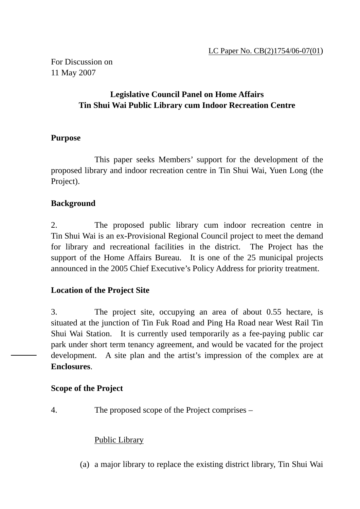For Discussion on 11 May 2007

# **Legislative Council Panel on Home Affairs Tin Shui Wai Public Library cum Indoor Recreation Centre**

## **Purpose**

 This paper seeks Members' support for the development of the proposed library and indoor recreation centre in Tin Shui Wai, Yuen Long (the Project).

## **Background**

2. The proposed public library cum indoor recreation centre in Tin Shui Wai is an ex-Provisional Regional Council project to meet the demand for library and recreational facilities in the district. The Project has the support of the Home Affairs Bureau. It is one of the 25 municipal projects announced in the 2005 Chief Executive's Policy Address for priority treatment.

## **Location of the Project Site**

3. The project site, occupying an area of about 0.55 hectare, is situated at the junction of Tin Fuk Road and Ping Ha Road near West Rail Tin Shui Wai Station. It is currently used temporarily as a fee-paying public car park under short term tenancy agreement, and would be vacated for the project development. A site plan and the artist's impression of the complex are at **Enclosures**.

## **Scope of the Project**

4. The proposed scope of the Project comprises –

## Public Library

(a) a major library to replace the existing district library, Tin Shui Wai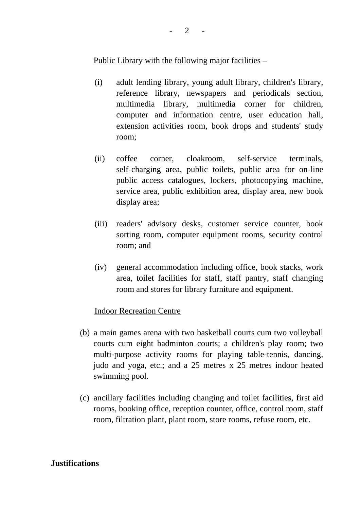$\overline{2}$ 

Public Library with the following major facilities –

- (i) adult lending library, young adult library, children's library, reference library, newspapers and periodicals section, multimedia library, multimedia corner for children, computer and information centre, user education hall, extension activities room, book drops and students' study room;
- (ii) coffee corner, cloakroom, self-service terminals, self-charging area, public toilets, public area for on-line public access catalogues, lockers, photocopying machine, service area, public exhibition area, display area, new book display area;
- (iii) readers' advisory desks, customer service counter, book sorting room, computer equipment rooms, security control room; and
- (iv) general accommodation including office, book stacks, work area, toilet facilities for staff, staff pantry, staff changing room and stores for library furniture and equipment.

## Indoor Recreation Centre

- (b) a main games arena with two basketball courts cum two volleyball courts cum eight badminton courts; a children's play room; two multi-purpose activity rooms for playing table-tennis, dancing, judo and yoga, etc.; and a 25 metres x 25 metres indoor heated swimming pool.
- (c) ancillary facilities including changing and toilet facilities, first aid rooms, booking office, reception counter, office, control room, staff room, filtration plant, plant room, store rooms, refuse room, etc.

## **Justifications**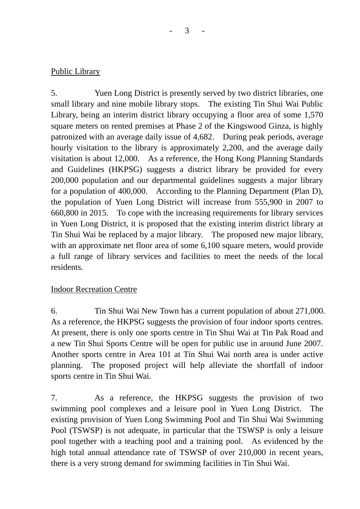# Public Library

5. Yuen Long District is presently served by two district libraries, one small library and nine mobile library stops. The existing Tin Shui Wai Public Library, being an interim district library occupying a floor area of some 1,570 square meters on rented premises at Phase 2 of the Kingswood Ginza, is highly patronized with an average daily issue of 4,682. During peak periods, average hourly visitation to the library is approximately 2,200, and the average daily visitation is about 12,000. As a reference, the Hong Kong Planning Standards and Guidelines (HKPSG) suggests a district library be provided for every 200,000 population and our departmental guidelines suggests a major library for a population of 400,000. According to the Planning Department (Plan D), the population of Yuen Long District will increase from 555,900 in 2007 to 660,800 in 2015. To cope with the increasing requirements for library services in Yuen Long District, it is proposed that the existing interim district library at Tin Shui Wai be replaced by a major library. The proposed new major library, with an approximate net floor area of some 6,100 square meters, would provide a full range of library services and facilities to meet the needs of the local residents.

# Indoor Recreation Centre

6. Tin Shui Wai New Town has a current population of about 271,000. As a reference, the HKPSG suggests the provision of four indoor sports centres. At present, there is only one sports centre in Tin Shui Wai at Tin Pak Road and a new Tin Shui Sports Centre will be open for public use in around June 2007. Another sports centre in Area 101 at Tin Shui Wai north area is under active planning. The proposed project will help alleviate the shortfall of indoor sports centre in Tin Shui Wai.

7. As a reference, the HKPSG suggests the provision of two swimming pool complexes and a leisure pool in Yuen Long District. The existing provision of Yuen Long Swimming Pool and Tin Shui Wai Swimming Pool (TSWSP) is not adequate, in particular that the TSWSP is only a leisure pool together with a teaching pool and a training pool. As evidenced by the high total annual attendance rate of TSWSP of over 210,000 in recent years, there is a very strong demand for swimming facilities in Tin Shui Wai.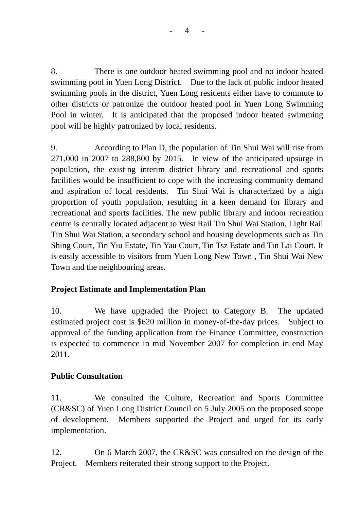$\overline{4}$ 

8. There is one outdoor heated swimming pool and no indoor heated swimming pool in Yuen Long District. Due to the lack of public indoor heated swimming pools in the district, Yuen Long residents either have to commute to other districts or patronize the outdoor heated pool in Yuen Long Swimming Pool in winter. It is anticipated that the proposed indoor heated swimming pool will be highly patronized by local residents.

9. According to Plan D, the population of Tin Shui Wai will rise from 271,000 in 2007 to 288,800 by 2015. In view of the anticipated upsurge in population, the existing interim district library and recreational and sports facilities would be insufficient to cope with the increasing community demand and aspiration of local residents. Tin Shui Wai is characterized by a high proportion of youth population, resulting in a keen demand for library and recreational and sports facilities. The new public library and indoor recreation centre is centrally located adjacent to West Rail Tin Shui Wai Station, Light Rail Tin Shui Wai Station, a secondary school and housing developments such as Tin Shing Court, Tin Yiu Estate, Tin Yau Court, Tin Tsz Estate and Tin Lai Court. It is easily accessible to visitors from Yuen Long New Town , Tin Shui Wai New Town and the neighbouring areas.

# **Project Estimate and Implementation Plan**

10. We have upgraded the Project to Category B. The updated estimated project cost is \$620 million in money-of-the-day prices. Subject to approval of the funding application from the Finance Committee, construction is expected to commence in mid November 2007 for completion in end May 2011*.*

# **Public Consultation**

11. We consulted the Culture, Recreation and Sports Committee (CR&SC) of Yuen Long District Council on 5 July 2005 on the proposed scope of development. Members supported the Project and urged for its early implementation.

12. On 6 March 2007, the CR&SC was consulted on the design of the Project. Members reiterated their strong support to the Project.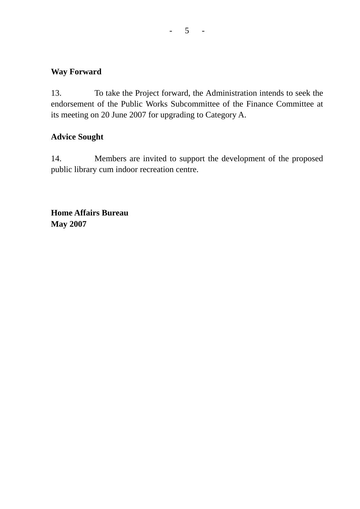#### $- 5 - 1$

# **Way Forward**

13. To take the Project forward, the Administration intends to seek the endorsement of the Public Works Subcommittee of the Finance Committee at its meeting on 20 June 2007 for upgrading to Category A.

# **Advice Sought**

14. Members are invited to support the development of the proposed public library cum indoor recreation centre.

**Home Affairs Bureau May 2007**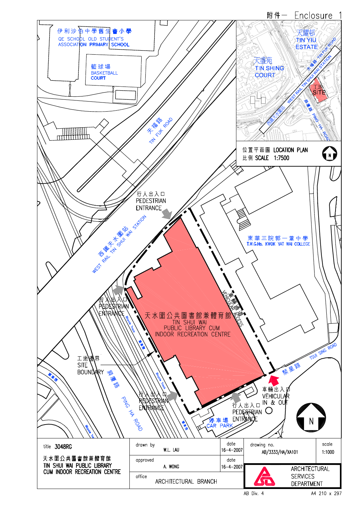